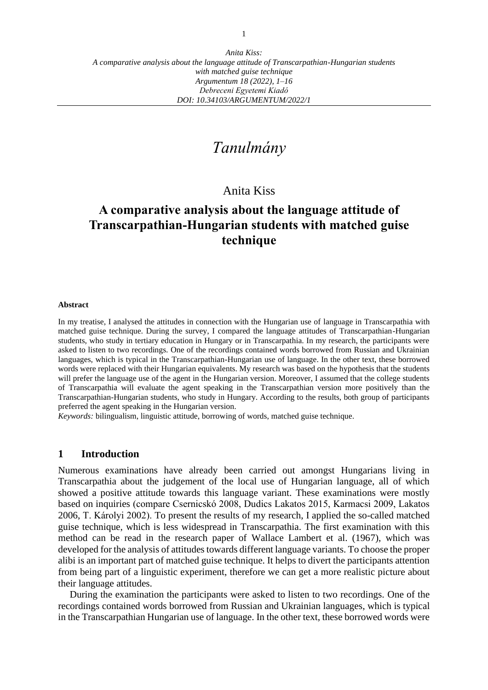# *Tanulmány*

# Anita Kiss

# **A comparative analysis about the language attitude of Transcarpathian-Hungarian students with matched guise technique**

#### **Abstract**

In my treatise, I analysed the attitudes in connection with the Hungarian use of language in Transcarpathia with matched guise technique. During the survey, I compared the language attitudes of Transcarpathian-Hungarian students, who study in tertiary education in Hungary or in Transcarpathia. In my research, the participants were asked to listen to two recordings. One of the recordings contained words borrowed from Russian and Ukrainian languages, which is typical in the Transcarpathian-Hungarian use of language. In the other text, these borrowed words were replaced with their Hungarian equivalents. My research was based on the hypothesis that the students will prefer the language use of the agent in the Hungarian version. Moreover, I assumed that the college students of Transcarpathia will evaluate the agent speaking in the Transcarpathian version more positively than the Transcarpathian-Hungarian students, who study in Hungary. According to the results, both group of participants preferred the agent speaking in the Hungarian version.

*Keywords:* bilingualism, linguistic attitude, borrowing of words, matched guise technique.

#### **1 Introduction**

Numerous examinations have already been carried out amongst Hungarians living in Transcarpathia about the judgement of the local use of Hungarian language, all of which showed a positive attitude towards this language variant. These examinations were mostly based on inquiries (compare Csernicskó 2008, Dudics Lakatos 2015, Karmacsi 2009, Lakatos 2006, T. Károlyi 2002). To present the results of my research, I applied the so-called matched guise technique, which is less widespread in Transcarpathia. The first examination with this method can be read in the research paper of Wallace Lambert et al. (1967), which was developed for the analysis of attitudes towards different language variants. To choose the proper alibi is an important part of matched guise technique. It helps to divert the participants attention from being part of a linguistic experiment, therefore we can get a more realistic picture about their language attitudes.

During the examination the participants were asked to listen to two recordings. One of the recordings contained words borrowed from Russian and Ukrainian languages, which is typical in the Transcarpathian Hungarian use of language. In the other text, these borrowed words were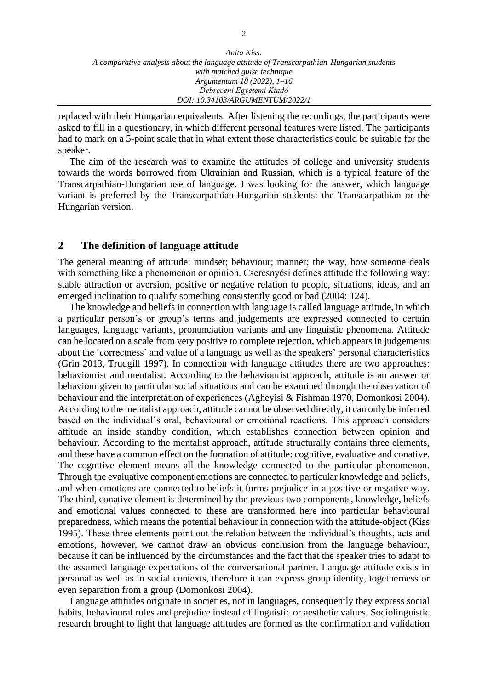| Anita Kiss:                                                                              |
|------------------------------------------------------------------------------------------|
| A comparative analysis about the language attitude of Transcarpathian-Hungarian students |
| with matched guise technique                                                             |
| Argumentum 18 (2022), $1-16$                                                             |
| Debreceni Egyetemi Kiadó                                                                 |
| DOI: 10.34103/ARGUMENTUM/2022/1                                                          |

replaced with their Hungarian equivalents. After listening the recordings, the participants were asked to fill in a questionary, in which different personal features were listed. The participants had to mark on a 5-point scale that in what extent those characteristics could be suitable for the speaker.

The aim of the research was to examine the attitudes of college and university students towards the words borrowed from Ukrainian and Russian, which is a typical feature of the Transcarpathian-Hungarian use of language. I was looking for the answer, which language variant is preferred by the Transcarpathian-Hungarian students: the Transcarpathian or the Hungarian version.

#### **2 The definition of language attitude**

The general meaning of attitude: mindset; behaviour; manner; the way, how someone deals with something like a phenomenon or opinion. Cseresnyési defines attitude the following way: stable attraction or aversion, positive or negative relation to people, situations, ideas, and an emerged inclination to qualify something consistently good or bad (2004: 124).

The knowledge and beliefs in connection with language is called language attitude, in which a particular person's or group's terms and judgements are expressed connected to certain languages, language variants, pronunciation variants and any linguistic phenomena. Attitude can be located on a scale from very positive to complete rejection, which appears in judgements about the 'correctness' and value of a language as well as the speakers' personal characteristics (Grin 2013, Trudgill 1997). In connection with language attitudes there are two approaches: behaviourist and mentalist. According to the behaviourist approach, attitude is an answer or behaviour given to particular social situations and can be examined through the observation of behaviour and the interpretation of experiences (Agheyisi & Fishman 1970, Domonkosi 2004). According to the mentalist approach, attitude cannot be observed directly, it can only be inferred based on the individual's oral, behavioural or emotional reactions. This approach considers attitude an inside standby condition, which establishes connection between opinion and behaviour. According to the mentalist approach, attitude structurally contains three elements, and these have a common effect on the formation of attitude: cognitive, evaluative and conative. The cognitive element means all the knowledge connected to the particular phenomenon. Through the evaluative component emotions are connected to particular knowledge and beliefs, and when emotions are connected to beliefs it forms prejudice in a positive or negative way. The third, conative element is determined by the previous two components, knowledge, beliefs and emotional values connected to these are transformed here into particular behavioural preparedness, which means the potential behaviour in connection with the attitude-object (Kiss 1995). These three elements point out the relation between the individual's thoughts, acts and emotions, however, we cannot draw an obvious conclusion from the language behaviour, because it can be influenced by the circumstances and the fact that the speaker tries to adapt to the assumed language expectations of the conversational partner. Language attitude exists in personal as well as in social contexts, therefore it can express group identity, togetherness or even separation from a group (Domonkosi 2004).

Language attitudes originate in societies, not in languages, consequently they express social habits, behavioural rules and prejudice instead of linguistic or aesthetic values. Sociolinguistic research brought to light that language attitudes are formed as the confirmation and validation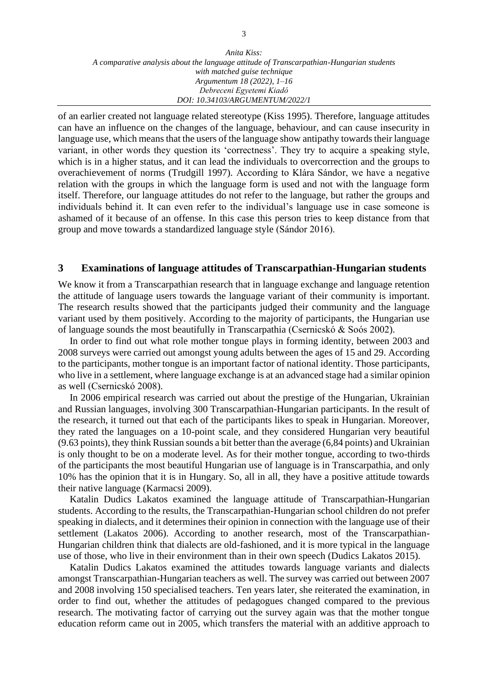of an earlier created not language related stereotype (Kiss 1995). Therefore, language attitudes can have an influence on the changes of the language, behaviour, and can cause insecurity in language use, which means that the users of the language show antipathy towards their language variant, in other words they question its 'correctness'. They try to acquire a speaking style, which is in a higher status, and it can lead the individuals to overcorrection and the groups to overachievement of norms (Trudgill 1997). According to Klára Sándor, we have a negative relation with the groups in which the language form is used and not with the language form itself. Therefore, our language attitudes do not refer to the language, but rather the groups and individuals behind it. It can even refer to the individual's language use in case someone is ashamed of it because of an offense. In this case this person tries to keep distance from that group and move towards a standardized language style (Sándor 2016).

#### **3 Examinations of language attitudes of Transcarpathian-Hungarian students**

We know it from a Transcarpathian research that in language exchange and language retention the attitude of language users towards the language variant of their community is important. The research results showed that the participants judged their community and the language variant used by them positively. According to the majority of participants, the Hungarian use of language sounds the most beautifully in Transcarpathia (Csernicskó & Soós 2002).

In order to find out what role mother tongue plays in forming identity, between 2003 and 2008 surveys were carried out amongst young adults between the ages of 15 and 29. According to the participants, mother tongue is an important factor of national identity. Those participants, who live in a settlement, where language exchange is at an advanced stage had a similar opinion as well (Csernicskó 2008).

In 2006 empirical research was carried out about the prestige of the Hungarian, Ukrainian and Russian languages, involving 300 Transcarpathian-Hungarian participants. In the result of the research, it turned out that each of the participants likes to speak in Hungarian. Moreover, they rated the languages on a 10-point scale, and they considered Hungarian very beautiful (9.63 points), they think Russian sounds a bit better than the average (6,84 points) and Ukrainian is only thought to be on a moderate level. As for their mother tongue, according to two-thirds of the participants the most beautiful Hungarian use of language is in Transcarpathia, and only 10% has the opinion that it is in Hungary. So, all in all, they have a positive attitude towards their native language (Karmacsi 2009).

Katalin Dudics Lakatos examined the language attitude of Transcarpathian-Hungarian students. According to the results, the Transcarpathian-Hungarian school children do not prefer speaking in dialects, and it determines their opinion in connection with the language use of their settlement (Lakatos 2006). According to another research, most of the Transcarpathian-Hungarian children think that dialects are old-fashioned, and it is more typical in the language use of those, who live in their environment than in their own speech (Dudics Lakatos 2015).

Katalin Dudics Lakatos examined the attitudes towards language variants and dialects amongst Transcarpathian-Hungarian teachers as well. The survey was carried out between 2007 and 2008 involving 150 specialised teachers. Ten years later, she reiterated the examination, in order to find out, whether the attitudes of pedagogues changed compared to the previous research. The motivating factor of carrying out the survey again was that the mother tongue education reform came out in 2005, which transfers the material with an additive approach to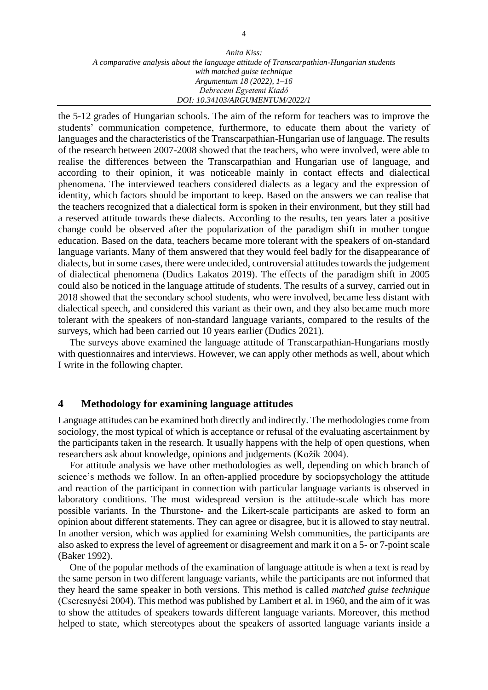the 5-12 grades of Hungarian schools. The aim of the reform for teachers was to improve the students' communication competence, furthermore, to educate them about the variety of languages and the characteristics of the Transcarpathian-Hungarian use of language. The results of the research between 2007-2008 showed that the teachers, who were involved, were able to realise the differences between the Transcarpathian and Hungarian use of language, and according to their opinion, it was noticeable mainly in contact effects and dialectical phenomena. The interviewed teachers considered dialects as a legacy and the expression of identity, which factors should be important to keep. Based on the answers we can realise that the teachers recognized that a dialectical form is spoken in their environment, but they still had a reserved attitude towards these dialects. According to the results, ten years later a positive change could be observed after the popularization of the paradigm shift in mother tongue education. Based on the data, teachers became more tolerant with the speakers of on-standard language variants. Many of them answered that they would feel badly for the disappearance of dialects, but in some cases, there were undecided, controversial attitudes towards the judgement of dialectical phenomena (Dudics Lakatos 2019). The effects of the paradigm shift in 2005 could also be noticed in the language attitude of students. The results of a survey, carried out in 2018 showed that the secondary school students, who were involved, became less distant with dialectical speech, and considered this variant as their own, and they also became much more tolerant with the speakers of non-standard language variants, compared to the results of the surveys, which had been carried out 10 years earlier (Dudics 2021).

The surveys above examined the language attitude of Transcarpathian-Hungarians mostly with questionnaires and interviews. However, we can apply other methods as well, about which I write in the following chapter.

#### **4 Methodology for examining language attitudes**

Language attitudes can be examined both directly and indirectly. The methodologies come from sociology, the most typical of which is acceptance or refusal of the evaluating ascertainment by the participants taken in the research. It usually happens with the help of open questions, when researchers ask about knowledge, opinions and judgements (Kožík 2004).

For attitude analysis we have other methodologies as well, depending on which branch of science's methods we follow. In an often-applied procedure by sociopsychology the attitude and reaction of the participant in connection with particular language variants is observed in laboratory conditions. The most widespread version is the attitude-scale which has more possible variants. In the Thurstone- and the Likert-scale participants are asked to form an opinion about different statements. They can agree or disagree, but it is allowed to stay neutral. In another version, which was applied for examining Welsh communities, the participants are also asked to express the level of agreement or disagreement and mark it on a 5- or 7-point scale (Baker 1992).

One of the popular methods of the examination of language attitude is when a text is read by the same person in two different language variants, while the participants are not informed that they heard the same speaker in both versions. This method is called *matched guise technique*  (Cseresnyési 2004). This method was published by Lambert et al. in 1960, and the aim of it was to show the attitudes of speakers towards different language variants. Moreover, this method helped to state, which stereotypes about the speakers of assorted language variants inside a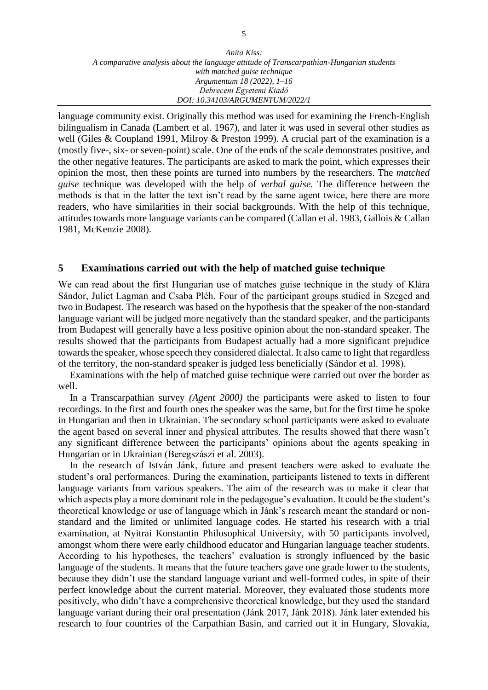language community exist. Originally this method was used for examining the French-English bilingualism in Canada (Lambert et al. 1967), and later it was used in several other studies as well (Giles & Coupland 1991, Milroy & Preston 1999). A crucial part of the examination is a (mostly five-, six- or seven-point) scale. One of the ends of the scale demonstrates positive, and the other negative features. The participants are asked to mark the point, which expresses their opinion the most, then these points are turned into numbers by the researchers. The *matched guise* technique was developed with the help of *verbal guise.* The difference between the methods is that in the latter the text isn't read by the same agent twice, here there are more readers, who have similarities in their social backgrounds. With the help of this technique, attitudes towards more language variants can be compared (Callan et al. 1983, Gallois & Callan 1981, McKenzie 2008).

#### **5 Examinations carried out with the help of matched guise technique**

We can read about the first Hungarian use of matches guise technique in the study of Klára Sándor, Juliet Lagman and Csaba Pléh. Four of the participant groups studied in Szeged and two in Budapest. The research was based on the hypothesis that the speaker of the non-standard language variant will be judged more negatively than the standard speaker, and the participants from Budapest will generally have a less positive opinion about the non-standard speaker. The results showed that the participants from Budapest actually had a more significant prejudice towards the speaker, whose speech they considered dialectal. It also came to light that regardless of the territory, the non-standard speaker is judged less beneficially (Sándor et al. 1998).

Examinations with the help of matched guise technique were carried out over the border as well.

In a Transcarpathian survey *(Agent 2000)* the participants were asked to listen to four recordings. In the first and fourth ones the speaker was the same, but for the first time he spoke in Hungarian and then in Ukrainian. The secondary school participants were asked to evaluate the agent based on several inner and physical attributes. The results showed that there wasn't any significant difference between the participants' opinions about the agents speaking in Hungarian or in Ukrainian (Beregszászi et al. 2003).

In the research of István Jánk, future and present teachers were asked to evaluate the student's oral performances. During the examination, participants listened to texts in different language variants from various speakers. The aim of the research was to make it clear that which aspects play a more dominant role in the pedagogue's evaluation. It could be the student's theoretical knowledge or use of language which in Jánk's research meant the standard or nonstandard and the limited or unlimited language codes. He started his research with a trial examination, at Nyitrai Konstantin Philosophical University, with 50 participants involved, amongst whom there were early childhood educator and Hungarian language teacher students. According to his hypotheses, the teachers' evaluation is strongly influenced by the basic language of the students. It means that the future teachers gave one grade lower to the students, because they didn't use the standard language variant and well-formed codes, in spite of their perfect knowledge about the current material. Moreover, they evaluated those students more positively, who didn't have a comprehensive theoretical knowledge, but they used the standard language variant during their oral presentation (Jánk 2017, Jánk 2018). Jánk later extended his research to four countries of the Carpathian Basin, and carried out it in Hungary, Slovakia,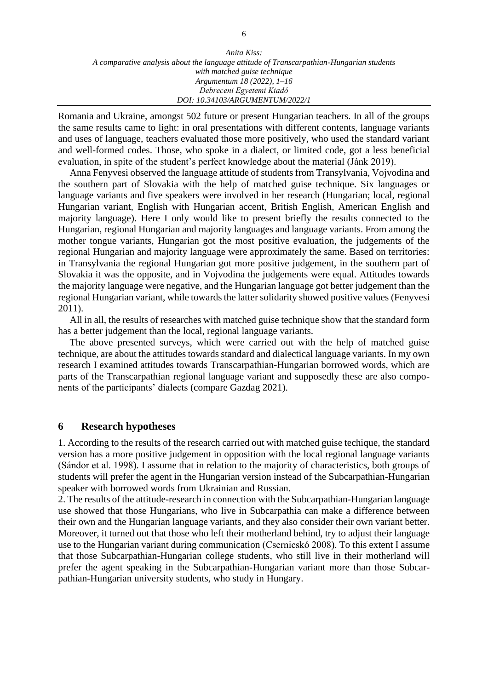Romania and Ukraine, amongst 502 future or present Hungarian teachers. In all of the groups the same results came to light: in oral presentations with different contents, language variants and uses of language, teachers evaluated those more positively, who used the standard variant and well-formed codes. Those, who spoke in a dialect, or limited code, got a less beneficial evaluation, in spite of the student's perfect knowledge about the material (Jánk 2019).

Anna Fenyvesi observed the language attitude of students from Transylvania, Vojvodina and the southern part of Slovakia with the help of matched guise technique. Six languages or language variants and five speakers were involved in her research (Hungarian; local, regional Hungarian variant, English with Hungarian accent, British English, American English and majority language). Here I only would like to present briefly the results connected to the Hungarian, regional Hungarian and majority languages and language variants. From among the mother tongue variants, Hungarian got the most positive evaluation, the judgements of the regional Hungarian and majority language were approximately the same. Based on territories: in Transylvania the regional Hungarian got more positive judgement, in the southern part of Slovakia it was the opposite, and in Vojvodina the judgements were equal. Attitudes towards the majority language were negative, and the Hungarian language got better judgement than the regional Hungarian variant, while towards the latter solidarity showed positive values (Fenyvesi 2011).

All in all, the results of researches with matched guise technique show that the standard form has a better judgement than the local, regional language variants.

The above presented surveys, which were carried out with the help of matched guise technique, are about the attitudes towards standard and dialectical language variants. In my own research I examined attitudes towards Transcarpathian-Hungarian borrowed words, which are parts of the Transcarpathian regional language variant and supposedly these are also components of the participants' dialects (compare Gazdag 2021).

#### **6 Research hypotheses**

1. According to the results of the research carried out with matched guise techique, the standard version has a more positive judgement in opposition with the local regional language variants (Sándor et al. 1998). I assume that in relation to the majority of characteristics, both groups of students will prefer the agent in the Hungarian version instead of the Subcarpathian-Hungarian speaker with borrowed words from Ukrainian and Russian.

2. The results of the attitude-research in connection with the Subcarpathian-Hungarian language use showed that those Hungarians, who live in Subcarpathia can make a difference between their own and the Hungarian language variants, and they also consider their own variant better. Moreover, it turned out that those who left their motherland behind, try to adjust their language use to the Hungarian variant during communication (Csernicskó 2008). To this extent I assume that those Subcarpathian-Hungarian college students, who still live in their motherland will prefer the agent speaking in the Subcarpathian-Hungarian variant more than those Subcarpathian-Hungarian university students, who study in Hungary.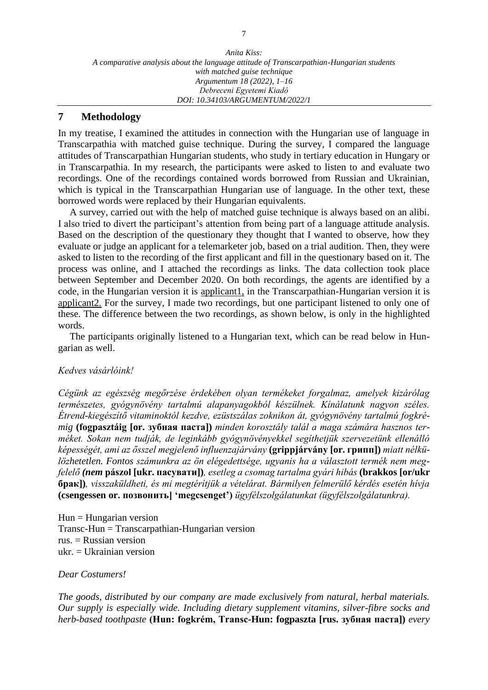### **7 Methodology**

In my treatise, I examined the attitudes in connection with the Hungarian use of language in Transcarpathia with matched guise technique. During the survey, I compared the language attitudes of Transcarpathian Hungarian students, who study in tertiary education in Hungary or in Transcarpathia. In my research, the participants were asked to listen to and evaluate two recordings. One of the recordings contained words borrowed from Russian and Ukrainian, which is typical in the Transcarpathian Hungarian use of language. In the other text, these borrowed words were replaced by their Hungarian equivalents.

A survey, carried out with the help of matched guise technique is always based on an alibi. I also tried to divert the participant's attention from being part of a language attitude analysis. Based on the description of the questionary they thought that I wanted to observe, how they evaluate or judge an applicant for a telemarketer job, based on a trial audition. Then, they were asked to listen to the recording of the first applicant and fill in the questionary based on it. The process was online, and I attached the recordings as links. The data collection took place between September and December 2020. On both recordings, the agents are identified by a code, in the Hungarian version it is applicant1, in the Transcarpathian-Hungarian version it is applicant2. For the survey, I made two recordings, but one participant listened to only one of these. The difference between the two recordings, as shown below, is only in the highlighted words.

The participants originally listened to a Hungarian text, which can be read below in Hungarian as well.

#### *Kedves vásárlóink!*

*Cégünk az egészség megőrzése érdekében olyan termékeket forgalmaz, amelyek kizárólag természetes, gyógynövény tartalmú alapanyagokból készülnek. Kínálatunk nagyon széles. Étrend-kiegészítő vitaminoktól kezdve, ezüstszálas zoknikon át, gyógynövény tartalmú fogkrémig* **(fogpasztáig [or. зубная паста])** *minden korosztály talál a maga számára hasznos terméket. Sokan nem tudják, de leginkább gyógynövényekkel segíthetjük szervezetünk ellenálló képességét, ami az ősszel megjelenő influenzajárvány* **(grippjárvány [or. грипп])** *miatt nélkülözhetetlen. Fontos számunkra az ön elégedettsége, ugyanis ha a választott termék nem megfelelő (nem* **pászol [ukr. пасувати])***, esetleg a csomag tartalma gyári hibás* **(brakkos [or/ukr брак])***, visszaküldheti, és mi megtérítjük a vételárat. Bármilyen felmerülő kérdés esetén hívja* **(csengessen or. позвонить] 'megcsenget')** *ügyfélszolgálatunkat (ügyfélszolgálatunkra).*

 $Hun = Hungarian version$ Transc-Hun = Transcarpathian-Hungarian version rus. = Russian version ukr. = Ukrainian version

*Dear Costumers!*

*The goods, distributed by our company are made exclusively from natural, herbal materials. Our supply is especially wide. Including dietary supplement vitamins, silver-fibre socks and herb-based toothpaste* **(Hun: fogkrém, Transc-Hun: fogpaszta [rus. зубная паста])** *every*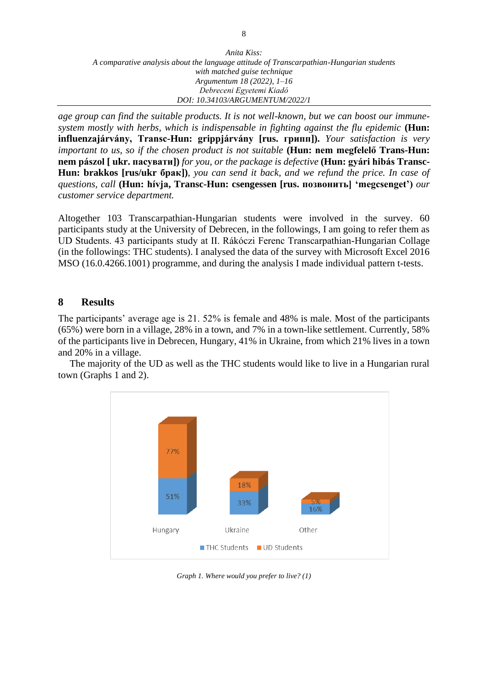*age group can find the suitable products. It is not well-known, but we can boost our immunesystem mostly with herbs, which is indispensable in fighting against the flu epidemic* **(Hun: influenzajárvány, Transc-Hun: grippjárvány [rus. грипп]).** *Your satisfaction is very important to us, so if the chosen product is not suitable* **(Hun: nem megfelelő Trans-Hun: nem pászol [ ukr. пасувати])** *for you, or the package is defective* **(Hun: gyári hibás Transc-Hun: brakkos [rus/ukr брак])**, *you can send it back, and we refund the price. In case of questions, call* **(Hun: hívja, Transc-Hun: csengessen [rus. позвонить] 'megcsenget')** *our customer service department.* 

Altogether 103 Transcarpathian-Hungarian students were involved in the survey. 60 participants study at the University of Debrecen, in the followings, I am going to refer them as UD Students. 43 participants study at II. Rákóczi Ferenc Transcarpathian-Hungarian Collage (in the followings: THC students). I analysed the data of the survey with Microsoft Excel 2016 MSO (16.0.4266.1001) programme, and during the analysis I made individual pattern t-tests.

## **8 Results**

The participants' average age is 21. 52% is female and 48% is male. Most of the participants (65%) were born in a village, 28% in a town, and 7% in a town-like settlement. Currently, 58% of the participants live in Debrecen, Hungary, 41% in Ukraine, from which 21% lives in a town and 20% in a village.

The majority of the UD as well as the THC students would like to live in a Hungarian rural town (Graphs 1 and 2).



*Graph 1. Where would you prefer to live? (1)*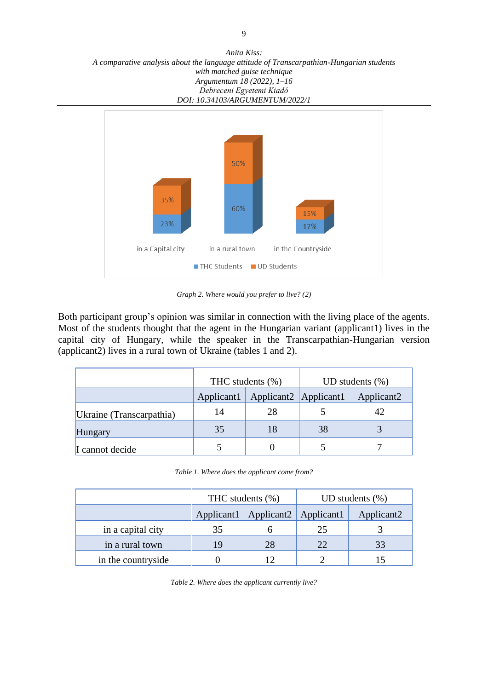

*Graph 2. Where would you prefer to live? (2)*

Both participant group's opinion was similar in connection with the living place of the agents. Most of the students thought that the agent in the Hungarian variant (applicant1) lives in the capital city of Hungary, while the speaker in the Transcarpathian-Hungarian version (applicant2) lives in a rural town of Ukraine (tables 1 and 2).

|                          | THC students (%) |                         | UD students $(\% )$ |            |
|--------------------------|------------------|-------------------------|---------------------|------------|
|                          | Applicant1       | Applicant2   Applicant1 |                     | Applicant2 |
| Ukraine (Transcarpathia) | 14               | 28                      |                     |            |
| <b>Hungary</b>           | 35               | 18                      | 38                  |            |
| I cannot decide          |                  |                         |                     |            |

*Table 1. Where does the applicant come from?*

|                    | THC students $(\%)$ |                    | UD students $(\% )$ |            |
|--------------------|---------------------|--------------------|---------------------|------------|
|                    | Applicant1          | $\Delta$ pplicant2 | $\Delta$ pplicant1  | Applicant2 |
| in a capital city  | 35                  |                    | 25                  |            |
| in a rural town    |                     | 28                 | 22                  |            |
| in the countryside |                     |                    |                     |            |

*Table 2. Where does the applicant currently live?*

9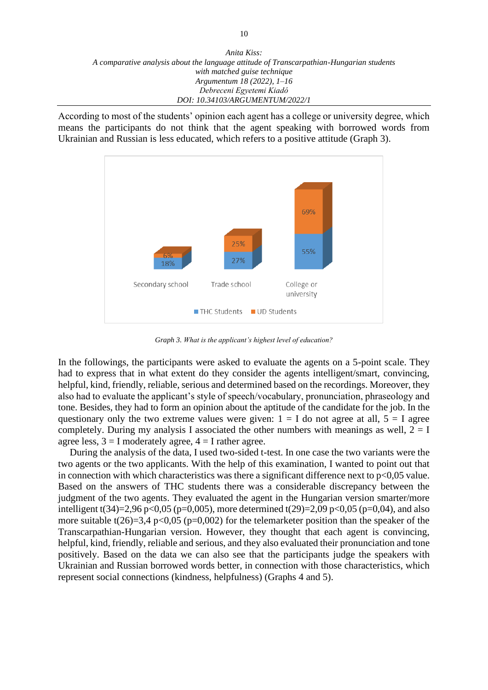According to most of the students' opinion each agent has a college or university degree, which means the participants do not think that the agent speaking with borrowed words from Ukrainian and Russian is less educated, which refers to a positive attitude (Graph 3).



*Graph 3. What is the applicant's highest level of education?*

In the followings, the participants were asked to evaluate the agents on a 5-point scale. They had to express that in what extent do they consider the agents intelligent/smart, convincing, helpful, kind, friendly, reliable, serious and determined based on the recordings. Moreover, they also had to evaluate the applicant's style of speech/vocabulary, pronunciation, phraseology and tone. Besides, they had to form an opinion about the aptitude of the candidate for the job. In the questionary only the two extreme values were given:  $1 = I$  do not agree at all,  $5 = I$  agree completely. During my analysis I associated the other numbers with meanings as well,  $2 = I$ agree less,  $3 = I$  moderately agree,  $4 = I$  rather agree.

During the analysis of the data, I used two-sided t-test. In one case the two variants were the two agents or the two applicants. With the help of this examination, I wanted to point out that in connection with which characteristics was there a significant difference next to  $p<0.05$  value. Based on the answers of THC students there was a considerable discrepancy between the judgment of the two agents. They evaluated the agent in the Hungarian version smarter/more intelligent t(34)=2,96 p<0,05 (p=0,005), more determined t(29)=2,09 p<0,05 (p=0,04), and also more suitable t(26)=3,4 p<0,05 (p=0,002) for the telemarketer position than the speaker of the Transcarpathian-Hungarian version. However, they thought that each agent is convincing, helpful, kind, friendly, reliable and serious, and they also evaluated their pronunciation and tone positively. Based on the data we can also see that the participants judge the speakers with Ukrainian and Russian borrowed words better, in connection with those characteristics, which represent social connections (kindness, helpfulness) (Graphs 4 and 5).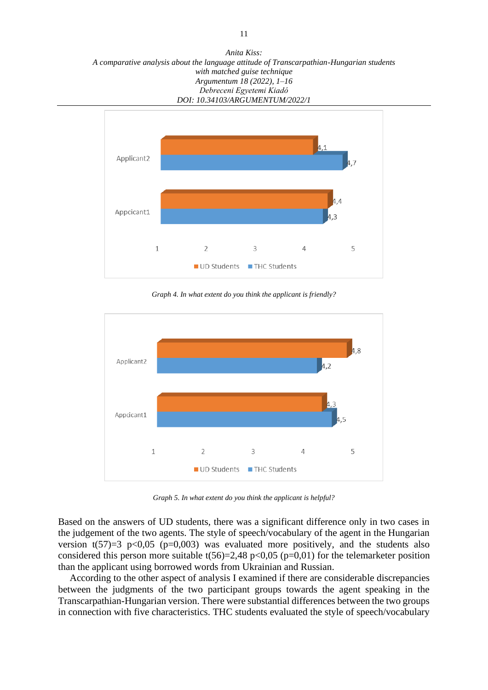*Anita Kiss: A comparative analysis about the language attitude of Transcarpathian-Hungarian students with matched guise technique Argumentum 18 (2022), 1–16 Debreceni Egyetemi Kiadó DOI: 10.34103/ARGUMENTUM/2022/1*



*Graph 4. In what extent do you think the applicant is friendly?*



*Graph 5. In what extent do you think the applicant is helpful?*

Based on the answers of UD students, there was a significant difference only in two cases in the judgement of the two agents. The style of speech/vocabulary of the agent in the Hungarian version  $t(57)=3$  p<0,05 (p=0,003) was evaluated more positively, and the students also considered this person more suitable t(56)=2,48 p<0,05 (p=0,01) for the telemarketer position than the applicant using borrowed words from Ukrainian and Russian.

According to the other aspect of analysis I examined if there are considerable discrepancies between the judgments of the two participant groups towards the agent speaking in the Transcarpathian-Hungarian version. There were substantial differences between the two groups in connection with five characteristics. THC students evaluated the style of speech/vocabulary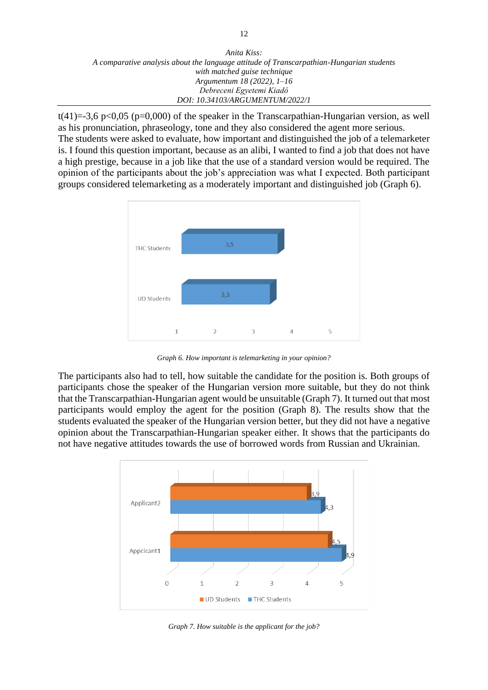| Anita Kiss:                                                                              |
|------------------------------------------------------------------------------------------|
| A comparative analysis about the language attitude of Transcarpathian-Hungarian students |
| with matched guise technique                                                             |
| Argumentum 18 (2022), $1-16$                                                             |
| Debreceni Egyetemi Kiadó                                                                 |
| DOI: 10.34103/ARGUMENTUM/2022/1                                                          |

t(41)=-3,6 p<0,05 (p=0,000) of the speaker in the Transcarpathian-Hungarian version, as well as his pronunciation, phraseology, tone and they also considered the agent more serious. The students were asked to evaluate, how important and distinguished the job of a telemarketer is. I found this question important, because as an alibi, I wanted to find a job that does not have a high prestige, because in a job like that the use of a standard version would be required. The opinion of the participants about the job's appreciation was what I expected. Both participant



*Graph 6. How important is telemarketing in your opinion?*

The participants also had to tell, how suitable the candidate for the position is. Both groups of participants chose the speaker of the Hungarian version more suitable, but they do not think that the Transcarpathian-Hungarian agent would be unsuitable (Graph 7). It turned out that most participants would employ the agent for the position (Graph 8). The results show that the students evaluated the speaker of the Hungarian version better, but they did not have a negative opinion about the Transcarpathian-Hungarian speaker either. It shows that the participants do not have negative attitudes towards the use of borrowed words from Russian and Ukrainian.



*Graph 7. How suitable is the applicant for the job?*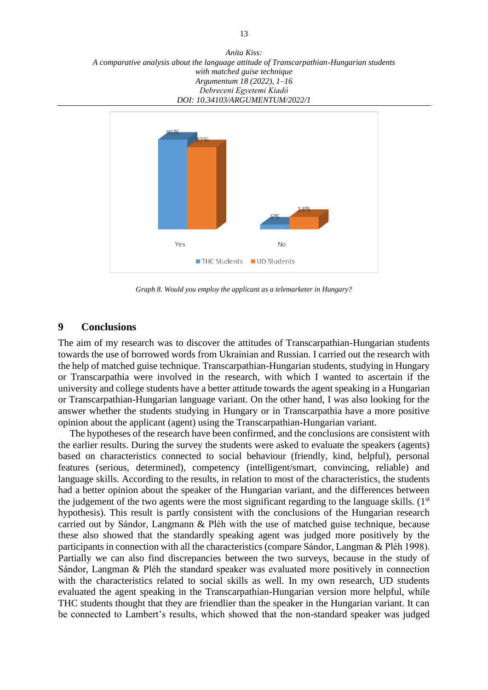*Anita Kiss: A comparative analysis about the language attitude of Transcarpathian-Hungarian students with matched guise technique Argumentum 18 (2022), 1–16 Debreceni Egyetemi Kiadó DOI: 10.34103/ARGUMENTUM/2022/1*



*Graph 8. Would you employ the applicant as a telemarketer in Hungary?*

#### **9 Conclusions**

The aim of my research was to discover the attitudes of Transcarpathian-Hungarian students towards the use of borrowed words from Ukrainian and Russian. I carried out the research with the help of matched guise technique. Transcarpathian-Hungarian students, studying in Hungary or Transcarpathia were involved in the research, with which I wanted to ascertain if the university and college students have a better attitude towards the agent speaking in a Hungarian or Transcarpathian-Hungarian language variant. On the other hand, I was also looking for the answer whether the students studying in Hungary or in Transcarpathia have a more positive opinion about the applicant (agent) using the Transcarpathian-Hungarian variant.

The hypotheses of the research have been confirmed, and the conclusions are consistent with the earlier results. During the survey the students were asked to evaluate the speakers (agents) based on characteristics connected to social behaviour (friendly, kind, helpful), personal features (serious, determined), competency (intelligent/smart, convincing, reliable) and language skills. According to the results, in relation to most of the characteristics, the students had a better opinion about the speaker of the Hungarian variant, and the differences between the judgement of the two agents were the most significant regarding to the language skills.  $(1<sup>st</sup>$ hypothesis). This result is partly consistent with the conclusions of the Hungarian research carried out by Sándor, Langmann & Pléh with the use of matched guise technique, because these also showed that the standardly speaking agent was judged more positively by the participants in connection with all the characteristics (compare Sándor, Langman & Pléh 1998). Partially we can also find discrepancies between the two surveys, because in the study of Sándor, Langman & Pléh the standard speaker was evaluated more positively in connection with the characteristics related to social skills as well. In my own research, UD students evaluated the agent speaking in the Transcarpathian-Hungarian version more helpful, while THC students thought that they are friendlier than the speaker in the Hungarian variant. It can be connected to Lambert's results, which showed that the non-standard speaker was judged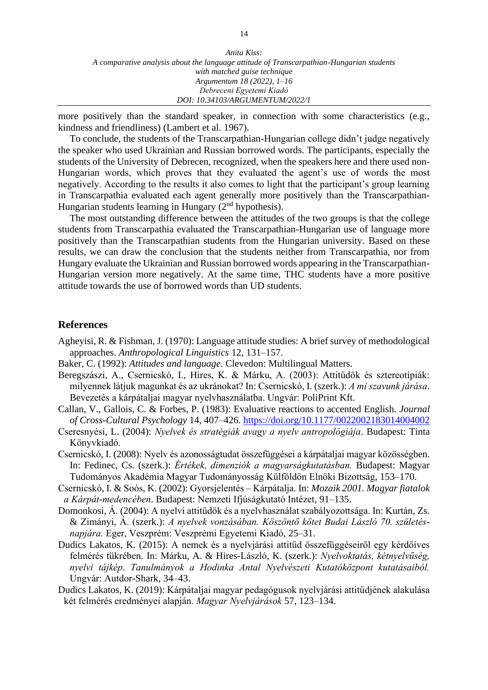| Anita Kiss:                                                                              |
|------------------------------------------------------------------------------------------|
| A comparative analysis about the language attitude of Transcarpathian-Hungarian students |
| with matched guise technique                                                             |
| Argumentum 18 (2022), $1-16$                                                             |
| Debreceni Egyetemi Kiadó                                                                 |
| DOI: 10.34103/ARGUMENTUM/2022/1                                                          |

more positively than the standard speaker, in connection with some characteristics (e.g., kindness and friendliness) (Lambert et al. 1967).

To conclude, the students of the Transcarpathian-Hungarian college didn't judge negatively the speaker who used Ukrainian and Russian borrowed words. The participants, especially the students of the University of Debrecen, recognized, when the speakers here and there used non-Hungarian words, which proves that they evaluated the agent's use of words the most negatively. According to the results it also comes to light that the participant's group learning in Transcarpathia evaluated each agent generally more positively than the Transcarpathian-Hungarian students learning in Hungary  $(2<sup>nd</sup>$  hypothesis).

The most outstanding difference between the attitudes of the two groups is that the college students from Transcarpathia evaluated the Transcarpathian-Hungarian use of language more positively than the Transcarpathian students from the Hungarian university. Based on these results, we can draw the conclusion that the students neither from Transcarpathia, nor from Hungary evaluate the Ukrainian and Russian borrowed words appearing in the Transcarpathian-Hungarian version more negatively. At the same time, THC students have a more positive attitude towards the use of borrowed words than UD students.

#### **References**

- Agheyisi, R. & Fishman, J. (1970): Language attitude studies: A brief survey of methodological approaches. *Anthropological Linguistics* 12, 131–157.
- Baker, C. (1992): *Attitudes and language*. Clevedon: Multilingual Matters.
- Beregszászi, A., Csernicskó, I., Hires, K. & Márku, A. (2003): Attitűdök és sztereotípiák: milyennek látjuk magunkat és az ukránokat? In: Csernicskó, I. (szerk.): *A mi szavunk járása*. Bevezetés a kárpátaljai magyar nyelvhasználatba. Ungvár: PoliPrint Kft.
- Callan, V., Gallois, C. & Forbes, P. (1983): Evaluative reactions to accented English. *Journal of Cross-Cultural Psychology* 14, 407–426. <https://doi.org/10.1177/0022002183014004002>
- Cseresnyési, L. (2004): *Nyelvek és stratégiák avagy a nyelv antropológiája*. Budapest: Tinta Könyvkiadó.
- Csernicskó, I. (2008): Nyelv és azonosságtudat összefüggései a kárpátaljai magyar közösségben. In: Fedinec, Cs. (szerk.): *Értékek, dimenziók a magyarságkutatásban.* Budapest: Magyar Tudományos Akadémia Magyar Tudományosság Külföldön Elnöki Bizottság, 153–170.
- Csernicskó, I. & Soós, K. (2002): Gyorsjelentés Kárpátalja. In: *Mozaik 2001. Magyar fiatalok a Kárpát-medencében*. Budapest: Nemzeti Ifjúságkutató Intézet, 91–135.
- Domonkosi, Á. (2004): A nyelvi attitűdök és a nyelvhasználat szabályozottsága. In: Kurtán, Zs. & Zimányi, Á. (szerk.): *A nyelvek vonzásában. Köszöntő kötet Budai László 70. születésnapjára.* Eger, Veszprém: Veszprémi Egyetemi Kiadó, 25–31.
- Dudics Lakatos, K. (2015): A nemek és a nyelvjárási attitűd összefüggéseiről egy kérdőíves felmérés tükrében. In: Márku, A. & Hires-László, K. (szerk.): *Nyelvoktatás, kétnyelvűség, nyelvi tájkép*. *Tanulmányok a Hodinka Antal Nyelvészeti Kutatóközpont kutatásaiból.* Ungvár: Autdor-Shark, 34–43.
- Dudics Lakatos, K. (2019): Kárpátaljai magyar pedagógusok nyelvjárási attitűdjének alakulása két felmérés eredményei alapján. *Magyar Nyelvjárások* 57, 123–134.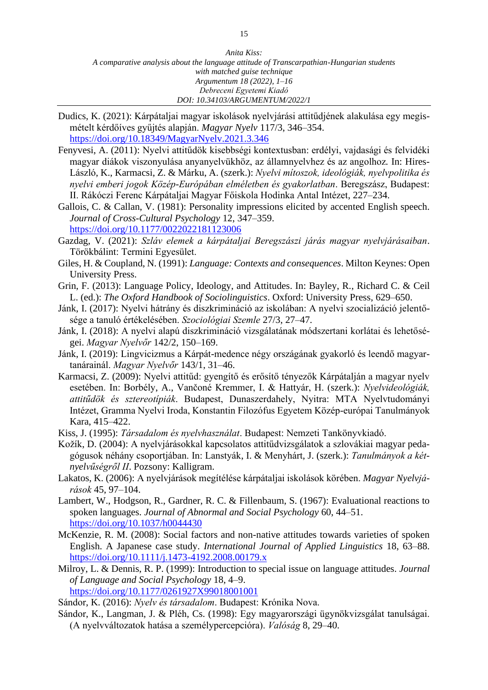- Dudics, K. (2021): Kárpátaljai magyar iskolások nyelvjárási attitűdjének alakulása egy megismételt kérdőíves gyűjtés alapján. *Magyar Nyelv* 117/3, 346–354. <https://doi.org/10.18349/MagyarNyelv.2021.3.346>
- Fenyvesi, A. (2011): Nyelvi attitűdök kisebbségi kontextusban: erdélyi, vajdasági és felvidéki magyar diákok viszonyulása anyanyelvükhöz, az államnyelvhez és az angolhoz*.* In: Hires-László, K., Karmacsi, Z. & Márku, A. (szerk.): *Nyelvi mítoszok, ideológiák, nyelvpolitika és nyelvi emberi jogok Közép-Európában elméletben és gyakorlatban*. Beregszász, Budapest: II. Rákóczi Ferenc Kárpátaljai Magyar Főiskola Hodinka Antal Intézet, 227–234.
- Gallois, C. & Callan, V. (1981): Personality impressions elicited by accented English speech. *Journal of Cross-Cultural Psychology* 12, 347–359. <https://doi.org/10.1177/0022022181123006>
- Gazdag, V. (2021): *Szláv elemek a kárpátaljai Beregszászi járás magyar nyelvjárásaiban*.
- Törökbálint: Termini Egyesület.
- Giles, H. & Coupland, N. (1991): *Language: Contexts and consequences*. Milton Keynes: Open University Press.
- Grin, F. (2013): Language Policy, Ideology, and Attitudes. In: Bayley, R., Richard C. & Ceil L. (ed.): *The Oxford Handbook of Sociolinguistics*. Oxford: University Press, 629–650.
- Jánk, I. (2017): Nyelvi hátrány és diszkrimináció az iskolában: A nyelvi szocializáció jelentősége a tanuló értékelésében. *Szociológiai Szemle* 27/3, 27–47.
- Jánk, I. (2018): A nyelvi alapú diszkrimináció vizsgálatának módszertani korlátai és lehetőségei. *Magyar Nyelvőr* 142/2, 150–169.
- Jánk, I. (2019): Lingvicizmus a Kárpát-medence négy országának gyakorló és leendő magyartanárainál. *Magyar Nyelvőr* 143/1, 31–46.
- Karmacsi, Z. (2009): Nyelvi attitűd: gyengítő és erősítő tényezők Kárpátalján a magyar nyelv esetében. In: Borbély, A., Vančoné Kremmer, I. & Hattyár, H. (szerk.): *Nyelvideológiák, attitűdök és sztereotípiák*. Budapest, Dunaszerdahely, Nyitra: MTA Nyelvtudományi Intézet, Gramma Nyelvi Iroda, Konstantin Filozófus Egyetem Közép-európai Tanulmányok Kara, 415–422.
- Kiss, J. (1995): *Társadalom és nyelvhasználat*. Budapest: Nemzeti Tankönyvkiadó.
- Kožík, D. (2004): A nyelvjárásokkal kapcsolatos attitűdvizsgálatok a szlovákiai magyar pedagógusok néhány csoportjában. In: Lanstyák, I. & Menyhárt, J. (szerk.): *Tanulmányok a kétnyelvűségről II*. Pozsony: Kalligram.
- Lakatos, K. (2006): A nyelvjárások megítélése kárpátaljai iskolások körében. *Magyar Nyelvjárások* 45, 97–104.
- Lambert, W., Hodgson, R., Gardner, R. C. & Fillenbaum, S. (1967): Evaluational reactions to spoken languages. *Journal of Abnormal and Social Psychology* 60, 44–51. <https://doi.org/10.1037/h0044430>
- McKenzie, R. M. (2008): Social factors and non-native attitudes towards varieties of spoken English. A Japanese case study. *International Journal of Applied Linguistics* 18, 63–88. <https://doi.org/10.1111/j.1473-4192.2008.00179.x>
- Milroy, L. & Dennis, R. P. (1999): Introduction to special issue on language attitudes. *Journal of Language and Social Psychology* 18, 4–9. <https://doi.org/10.1177/0261927X99018001001>
- Sándor, K. (2016): *Nyelv és társadalom*. Budapest: Krónika Nova.
- Sándor, K., Langman, J. & Pléh, Cs. (1998): Egy magyarországi ügynökvizsgálat tanulságai. (A nyelvváltozatok hatása a személypercepcióra). *Valóság* 8, 29–40.